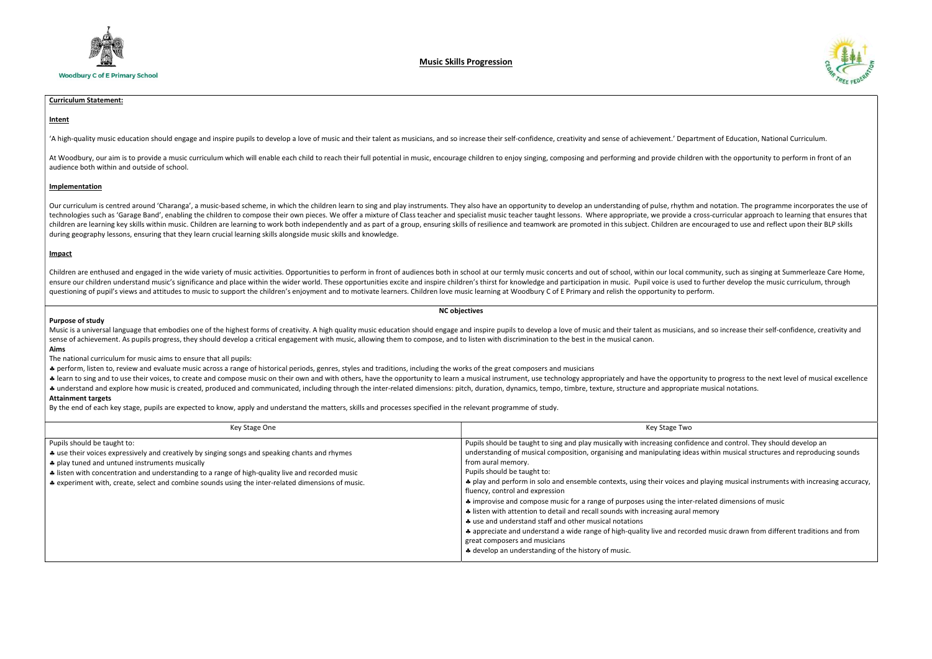

## Music Skills Progression

# Curriculum Statement:

## Intent

'A high-quality music education should engage and inspire pupils to develop a love of music and their talent as musicians, and so increase their self-confidence, creativity and sense of achievement.' Departm

At Woodbury, our aim is to provide a music curriculum which will enable each child to reach their full potential in music, encourage children to enjoy singing, composing and performing and provide children audience both within and outside of school.

### Implementation

Our curriculum is centred around 'Charanga', a music-based scheme, in which the children learn to sing and play instruments. They also have an opportunity to develop an understanding of pulse, rhythm and technologies such as 'Garage Band', enabling the children to compose their own pieces. We offer a mixture of Class teacher and specialist music teacher taught lessons. Where appropriate, we provide a cros children are learning key skills within music. Children are learning to work both independently and as part of a group, ensuring skills of resilience and teamwork are promoted in this subject. Children are encc during geography lessons, ensuring that they learn crucial learning skills alongside music skills and knowledge.

Music is a universal language that embodies one of the highest forms of creativity. A high quality music education should engage and inspire pupils to develop a love of music and their talent as musicians, an sense of achievement. As pupils progress, they should develop a critical engagement with music, allowing them to compose, and to listen with discrimination to the best in the musical canon. Aims

### Impact

Children are enthused and engaged in the wide variety of music activities. Opportunities to perform in front of audiences both in school at our termly music concerts and out of school, within our local comm ensure our children understand music's significance and place within the wider world. These opportunities excite and inspire children's thirst for knowledge and participation in music. Pupil voice is used to f questioning of pupil's views and attitudes to music to support the children's enjoyment and to motivate learners. Children love music learning at Woodbury C of E Primary and relish the opportunity to perfor

#### NC objectives

### Purpose of study

The national curriculum for music aims to ensure that all pupils:

perform, listen to, review and evaluate music across a range of historical periods, genres, styles and traditions, including the works of the great composers and musicians

\* learn to sing and to use their voices, to create and compose music on their own and with others, have the opportunity to learn a musical instrument, use technology appropriately and have the opportunity \* understand and explore how music is created, produced and communicated, including through the inter-related dimensions: pitch, duration, dynamics, tempo, timbre, texture, structure and appropriate notations.

### Attainment targets

By the end of each key stage, pupils are expected to know, apply and understand the matters, skills and processes specified in the relevant programme of study.

| Key Stage One                                                                                                                                                                                                                                                                                                                                                                            | Key Stage Two                                                                                                                                                                                                                                                                                                                                                                                                                                                                                                                                                                                                                                                                                                                                                                                                                                                                                                                                    |
|------------------------------------------------------------------------------------------------------------------------------------------------------------------------------------------------------------------------------------------------------------------------------------------------------------------------------------------------------------------------------------------|--------------------------------------------------------------------------------------------------------------------------------------------------------------------------------------------------------------------------------------------------------------------------------------------------------------------------------------------------------------------------------------------------------------------------------------------------------------------------------------------------------------------------------------------------------------------------------------------------------------------------------------------------------------------------------------------------------------------------------------------------------------------------------------------------------------------------------------------------------------------------------------------------------------------------------------------------|
| Pupils should be taught to:<br>* use their voices expressively and creatively by singing songs and speaking chants and rhymes<br>* play tuned and untuned instruments musically<br>A listen with concentration and understanding to a range of high-quality live and recorded music<br>* experiment with, create, select and combine sounds using the inter-related dimensions of music. | Pupils should be taught to sing and play musically with increasing confidence and control. They should develop an<br>understanding of musical composition, organising and manipulating ideas within musical structures and reproducing sounds<br>from aural memory.<br>Pupils should be taught to:<br>* play and perform in solo and ensemble contexts, using their voices and playing musical instruments with increasing accuracy,<br>fluency, control and expression<br># improvise and compose music for a range of purposes using the inter-related dimensions of music<br>↓ listen with attention to detail and recall sounds with increasing aural memory<br>∗ use and understand staff and other musical notations<br>4. appreciate and understand a wide range of high-quality live and recorded music drawn from different traditions and from<br>great composers and musicians<br>A develop an understanding of the history of music. |



| ent of Education, National Curriculum.                                                                                                                        |
|---------------------------------------------------------------------------------------------------------------------------------------------------------------|
| with the opportunity to perform in front of an                                                                                                                |
|                                                                                                                                                               |
| d notation. The programme incorporates the use of<br>ss-curricular approach to learning that ensures that<br>ouraged to use and reflect upon their BLP skills |
|                                                                                                                                                               |
| nunity, such as singing at Summerleaze Care Home,<br>further develop the music curriculum, through<br>rm.                                                     |
|                                                                                                                                                               |
| nd so increase their self-confidence, creativity and                                                                                                          |
|                                                                                                                                                               |
| y to progress to the next level of musical excellence<br>nusical notations.                                                                                   |
|                                                                                                                                                               |
|                                                                                                                                                               |
| ce and control. They should develop an<br>vithin musical structures and reproducing sounds                                                                    |
| laying musical instruments with increasing accuracy,                                                                                                          |
| ated dimensions of music<br>mory                                                                                                                              |
|                                                                                                                                                               |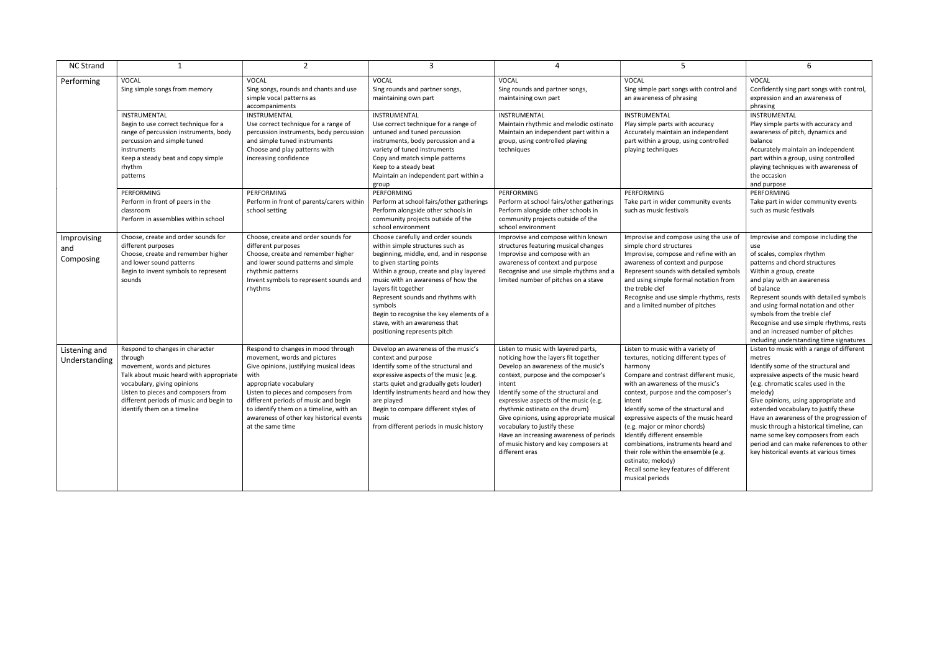| <b>NC Strand</b>                |                                                                                                                                                                                                                                                                       | $\overline{2}$                                                                                                                                                                                                                                                                                                                            | 3                                                                                                                                                                                                                                                                                                                                                                                                                 | 4                                                                                                                                                                                                                                                                                                                                                                                                                                                                      | 5                                                                                                                                                                                                                                                                                                                                                                                                                                                                                                                                  | 6                                                                                                                                                                                                                                                                                                                                                                                                                                                                                     |
|---------------------------------|-----------------------------------------------------------------------------------------------------------------------------------------------------------------------------------------------------------------------------------------------------------------------|-------------------------------------------------------------------------------------------------------------------------------------------------------------------------------------------------------------------------------------------------------------------------------------------------------------------------------------------|-------------------------------------------------------------------------------------------------------------------------------------------------------------------------------------------------------------------------------------------------------------------------------------------------------------------------------------------------------------------------------------------------------------------|------------------------------------------------------------------------------------------------------------------------------------------------------------------------------------------------------------------------------------------------------------------------------------------------------------------------------------------------------------------------------------------------------------------------------------------------------------------------|------------------------------------------------------------------------------------------------------------------------------------------------------------------------------------------------------------------------------------------------------------------------------------------------------------------------------------------------------------------------------------------------------------------------------------------------------------------------------------------------------------------------------------|---------------------------------------------------------------------------------------------------------------------------------------------------------------------------------------------------------------------------------------------------------------------------------------------------------------------------------------------------------------------------------------------------------------------------------------------------------------------------------------|
| Performing                      | VOCAL<br>Sing simple songs from memory                                                                                                                                                                                                                                | <b>VOCAL</b><br>Sing songs, rounds and chants and use<br>simple vocal patterns as<br>accompaniments                                                                                                                                                                                                                                       | <b>VOCAL</b><br>Sing rounds and partner songs,<br>maintaining own part                                                                                                                                                                                                                                                                                                                                            | <b>VOCAL</b><br>Sing rounds and partner songs,<br>maintaining own part                                                                                                                                                                                                                                                                                                                                                                                                 | VOCAL<br>Sing simple part songs with control and<br>an awareness of phrasing                                                                                                                                                                                                                                                                                                                                                                                                                                                       | <b>VOCAL</b><br>Confidently sing part songs with control,<br>expression and an awareness of<br>phrasing                                                                                                                                                                                                                                                                                                                                                                               |
|                                 | <b>INSTRUMENTAL</b><br>Begin to use correct technique for a<br>range of percussion instruments, body<br>percussion and simple tuned<br>instruments<br>Keep a steady beat and copy simple<br>rhythm<br>patterns                                                        | INSTRUMENTAL<br>Use correct technique for a range of<br>percussion instruments, body percussion<br>and simple tuned instruments<br>Choose and play patterns with<br>increasing confidence                                                                                                                                                 | <b>INSTRUMENTAL</b><br>Use correct technique for a range of<br>untuned and tuned percussion<br>instruments, body percussion and a<br>variety of tuned instruments<br>Copy and match simple patterns<br>Keep to a steady beat<br>Maintain an independent part within a<br>group                                                                                                                                    | INSTRUMENTAL<br>Maintain rhythmic and melodic ostinato<br>Maintain an independent part within a<br>group, using controlled playing<br>techniques                                                                                                                                                                                                                                                                                                                       | <b>INSTRUMENTAL</b><br>Play simple parts with accuracy<br>Accurately maintain an independent<br>part within a group, using controlled<br>playing techniques                                                                                                                                                                                                                                                                                                                                                                        | INSTRUMENTAL<br>Play simple parts with accuracy and<br>awareness of pitch, dynamics and<br>balance<br>Accurately maintain an independent<br>part within a group, using controlled<br>playing techniques with awareness of<br>the occasion<br>and purpose                                                                                                                                                                                                                              |
|                                 | PERFORMING<br>Perform in front of peers in the<br>classroom<br>Perform in assemblies within school                                                                                                                                                                    | PERFORMING<br>Perform in front of parents/carers within<br>school setting                                                                                                                                                                                                                                                                 | PERFORMING<br>Perform at school fairs/other gatherings<br>Perform alongside other schools in<br>community projects outside of the<br>school environment                                                                                                                                                                                                                                                           | PERFORMING<br>Perform at school fairs/other gatherings<br>Perform alongside other schools in<br>community projects outside of the<br>school environment                                                                                                                                                                                                                                                                                                                | PERFORMING<br>Take part in wider community events<br>such as music festivals                                                                                                                                                                                                                                                                                                                                                                                                                                                       | PERFORMING<br>Take part in wider community events<br>such as music festivals                                                                                                                                                                                                                                                                                                                                                                                                          |
| Improvising<br>and<br>Composing | Choose, create and order sounds for<br>different purposes<br>Choose, create and remember higher<br>and lower sound patterns<br>Begin to invent symbols to represent<br>sounds                                                                                         | Choose, create and order sounds for<br>different purposes<br>Choose, create and remember higher<br>and lower sound patterns and simple<br>rhythmic patterns<br>Invent symbols to represent sounds and<br>rhythms                                                                                                                          | Choose carefully and order sounds<br>within simple structures such as<br>beginning, middle, end, and in response<br>to given starting points<br>Within a group, create and play layered<br>music with an awareness of how the<br>layers fit together<br>Represent sounds and rhythms with<br>symbols<br>Begin to recognise the key elements of a<br>stave, with an awareness that<br>positioning represents pitch | Improvise and compose within known<br>structures featuring musical changes<br>Improvise and compose with an<br>awareness of context and purpose<br>Recognise and use simple rhythms and a<br>limited number of pitches on a stave                                                                                                                                                                                                                                      | Improvise and compose using the use of<br>simple chord structures<br>Improvise, compose and refine with an<br>awareness of context and purpose<br>Represent sounds with detailed symbols<br>and using simple formal notation from<br>the treble clef<br>Recognise and use simple rhythms, rests<br>and a limited number of pitches                                                                                                                                                                                                 | Improvise and compose including the<br>use<br>of scales, complex rhythm<br>patterns and chord structures<br>Within a group, create<br>and play with an awareness<br>of balance<br>Represent sounds with detailed symbols<br>and using formal notation and other<br>symbols from the treble clef<br>Recognise and use simple rhythms, rests<br>and an increased number of pitches<br>including understanding time signatures                                                           |
| Listening and<br>Understanding  | Respond to changes in character<br>through<br>movement, words and pictures<br>Talk about music heard with appropriate<br>vocabulary, giving opinions<br>Listen to pieces and composers from<br>different periods of music and begin to<br>identify them on a timeline | Respond to changes in mood through<br>movement, words and pictures<br>Give opinions, justifying musical ideas<br>with<br>appropriate vocabulary<br>Listen to pieces and composers from<br>different periods of music and begin<br>to identify them on a timeline, with an<br>awareness of other key historical events<br>at the same time | Develop an awareness of the music's<br>context and purpose<br>Identify some of the structural and<br>expressive aspects of the music (e.g.<br>starts quiet and gradually gets louder)<br>Identify instruments heard and how they<br>are played<br>Begin to compare different styles of<br>music<br>from different periods in music history                                                                        | Listen to music with layered parts,<br>noticing how the layers fit together<br>Develop an awareness of the music's<br>context, purpose and the composer's<br>intent<br>Identify some of the structural and<br>expressive aspects of the music (e.g.<br>rhythmic ostinato on the drum)<br>Give opinions, using appropriate musical<br>vocabulary to justify these<br>Have an increasing awareness of periods<br>of music history and key composers at<br>different eras | Listen to music with a variety of<br>textures, noticing different types of<br>harmony<br>Compare and contrast different music,<br>with an awareness of the music's<br>context, purpose and the composer's<br>intent<br>Identify some of the structural and<br>expressive aspects of the music heard<br>(e.g. major or minor chords)<br>Identify different ensemble<br>combinations, instruments heard and<br>their role within the ensemble (e.g.<br>ostinato; melody)<br>Recall some key features of different<br>musical periods | Listen to music with a range of different<br>metres<br>Identify some of the structural and<br>expressive aspects of the music heard<br>(e.g. chromatic scales used in the<br>melody)<br>Give opinions, using appropriate and<br>extended vocabulary to justify these<br>Have an awareness of the progression of<br>music through a historical timeline, can<br>name some key composers from each<br>period and can make references to other<br>key historical events at various times |